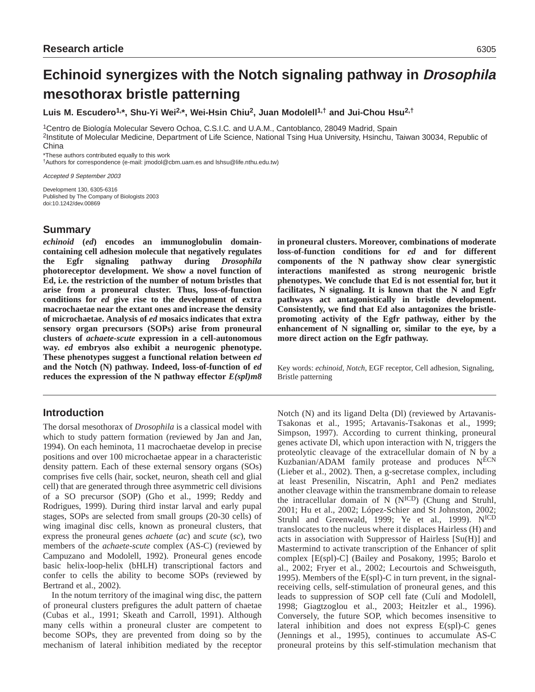# **Echinoid synergizes with the Notch signaling pathway in Drosophila mesothorax bristle patterning**

**Luis M. Escudero1,\*, Shu-Yi Wei2,\*, Wei-Hsin Chiu2, Juan Modolell1,† and Jui-Chou Hsu2,†**

1Centro de Biología Molecular Severo Ochoa, C.S.I.C. and U.A.M., Cantoblanco, 28049 Madrid, Spain 2Institute of Molecular Medicine, Department of Life Science, National Tsing Hua University, Hsinchu, Taiwan 30034, Republic of China

\*These authors contributed equally to this work

†Authors for correspondence (e-mail: jmodol@cbm.uam.es and lshsu@life.nthu.edu.tw)

Accepted 9 September 2003

Development 130, 6305-6316 Published by The Company of Biologists 2003 doi:10.1242/dev.00869

# **Summary**

*echinoid* **(***ed***) encodes an immunoglobulin domaincontaining cell adhesion molecule that negatively regulates the Egfr signaling pathway during** *Drosophila* **photoreceptor development. We show a novel function of Ed, i.e. the restriction of the number of notum bristles that arise from a proneural cluster. Thus, loss-of-function conditions for** *ed* **give rise to the development of extra macrochaetae near the extant ones and increase the density of microchaetae. Analysis of** *ed* **mosaics indicates that extra sensory organ precursors (SOPs) arise from proneural clusters of** *achaete-scute* **expression in a cell-autonomous way.** *ed* **embryos also exhibit a neurogenic phenotype. These phenotypes suggest a functional relation between** *ed* **and the Notch (N) pathway. Indeed, loss-of-function of** *ed* **reduces the expression of the N pathway effector** *E(spl)m8*

# **Introduction**

The dorsal mesothorax of *Drosophila* is a classical model with which to study pattern formation (reviewed by Jan and Jan, 1994). On each heminota, 11 macrochaetae develop in precise positions and over 100 microchaetae appear in a characteristic density pattern. Each of these external sensory organs (SOs) comprises five cells (hair, socket, neuron, sheath cell and glial cell) that are generated through three asymmetric cell divisions of a SO precursor (SOP) (Gho et al., 1999; Reddy and Rodrigues, 1999). During third instar larval and early pupal stages, SOPs are selected from small groups (20-30 cells) of wing imaginal disc cells, known as proneural clusters, that express the proneural genes *achaete* (*ac*) and *scute* (*sc*), two members of the *achaete-scute* complex (AS-C) (reviewed by Campuzano and Modolell, 1992). Proneural genes encode basic helix-loop-helix (bHLH) transcriptional factors and confer to cells the ability to become SOPs (reviewed by Bertrand et al., 2002).

In the notum territory of the imaginal wing disc, the pattern of proneural clusters prefigures the adult pattern of chaetae (Cubas et al., 1991; Skeath and Carroll, 1991). Although many cells within a proneural cluster are competent to become SOPs, they are prevented from doing so by the mechanism of lateral inhibition mediated by the receptor **in proneural clusters. Moreover, combinations of moderate loss-of-function conditions for** *ed* **and for different components of the N pathway show clear synergistic interactions manifested as strong neurogenic bristle phenotypes. We conclude that Ed is not essential for, but it facilitates, N signaling. It is known that the N and Egfr pathways act antagonistically in bristle development. Consistently, we find that Ed also antagonizes the bristlepromoting activity of the Egfr pathway, either by the enhancement of N signalling or, similar to the eye, by a more direct action on the Egfr pathway.** 

Key words: *echinoid*, *Notch*, EGF receptor, Cell adhesion, Signaling, Bristle patterning

Notch (N) and its ligand Delta (Dl) (reviewed by Artavanis-Tsakonas et al., 1995; Artavanis-Tsakonas et al., 1999; Simpson, 1997). According to current thinking, proneural genes activate Dl, which upon interaction with N, triggers the proteolytic cleavage of the extracellular domain of N by a Kuzbanian/ADAM family protease and produces NECN (Lieber et al., 2002). Then, a g-secretase complex, including at least Presenilin, Niscatrin, Aph1 and Pen2 mediates another cleavage within the transmembrane domain to release the intracellular domain of N (NICD) (Chung and Struhl, 2001; Hu et al., 2002; López-Schier and St Johnston, 2002; Struhl and Greenwald, 1999; Ye et al., 1999). N<sup>ICD</sup> translocates to the nucleus where it displaces Hairless (H) and acts in association with Suppressor of Hairless [Su(H)] and Mastermind to activate transcription of the Enhancer of split complex [E(spl)-C] (Bailey and Posakony, 1995; Barolo et al., 2002; Fryer et al., 2002; Lecourtois and Schweisguth, 1995). Members of the E(spl)-C in turn prevent, in the signalreceiving cells, self-stimulation of proneural genes, and this leads to suppression of SOP cell fate (Culí and Modolell, 1998; Giagtzoglou et al., 2003; Heitzler et al., 1996). Conversely, the future SOP, which becomes insensitive to lateral inhibition and does not express E(spl)-C genes (Jennings et al., 1995), continues to accumulate AS-C proneural proteins by this self-stimulation mechanism that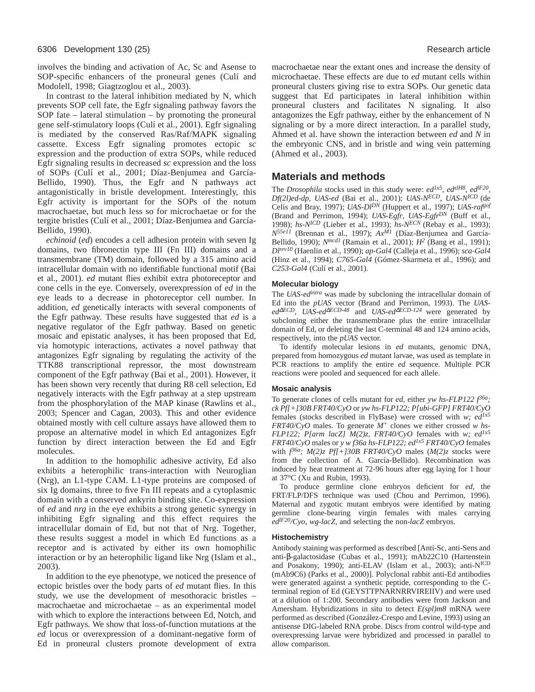involves the binding and activation of Ac, Sc and Asense to SOP-specific enhancers of the proneural genes (Culí and Modolell, 1998; Giagtzoglou et al., 2003).

In contrast to the lateral inhibition mediated by N, which prevents SOP cell fate, the Egfr signaling pathway favors the SOP fate – lateral stimulation – by promoting the proneural gene self-stimulatory loops (Culí et al., 2001). Egfr signaling is mediated by the conserved Ras/Raf/MAPK signaling cassette. Excess Egfr signaling promotes ectopic *sc* expression and the production of extra SOPs, while reduced Egfr signaling results in decreased *sc* expression and the loss of SOPs (Culí et al., 2001; Díaz-Benjumea and García-Bellido, 1990). Thus, the Egfr and N pathways act antagonistically in bristle development. Interestingly, this Egfr activity is important for the SOPs of the notum macrochaetae, but much less so for microchaetae or for the tergite bristles (Culí et al., 2001; Díaz-Benjumea and García-Bellido, 1990).

*echinoid* (*ed*) encodes a cell adhesion protein with seven Ig domains, two fibronectin type III (Fn III) domains and a transmembrane (TM) domain, followed by a 315 amino acid intracellular domain with no identifiable functional motif (Bai et al., 2001). *ed* mutant flies exhibit extra photoreceptor and cone cells in the eye. Conversely, overexpression of *ed* in the eye leads to a decrease in photoreceptor cell number. In addition, *ed* genetically interacts with several components of the Egfr pathway. These results have suggested that *ed* is a negative regulator of the Egfr pathway. Based on genetic mosaic and epistatic analyses, it has been proposed that Ed, via homotypic interactions, activates a novel pathway that antagonizes Egfr signaling by regulating the activity of the TTK88 transcriptional repressor, the most downstream component of the Egfr pathway (Bai et al., 2001). However, it has been shown very recently that during R8 cell selection, Ed negatively interacts with the Egfr pathway at a step upstream from the phosphorylation of the MAP kinase (Rawlins et al., 2003; Spencer and Cagan, 2003). This and other evidence obtained mostly with cell culture assays have allowed them to propose an alternative model in which Ed antagonizes Egfr function by direct interaction between the Ed and Egfr molecules.

In addition to the homophilic adhesive activity, Ed also exhibits a heterophilic trans-interaction with Neuroglian (Nrg), an L1-type CAM. L1-type proteins are composed of six Ig domains, three to five Fn III repeats and a cytoplasmic domain with a conserved ankyrin binding site. Co-expression of *ed* and *nrg* in the eye exhibits a strong genetic synergy in inhibiting Egfr signaling and this effect requires the intracellular domain of Ed, but not that of Nrg. Together, these results suggest a model in which Ed functions as a receptor and is activated by either its own homophilic interaction or by an heterophilic ligand like Nrg (Islam et al., 2003).

In addition to the eye phenotype, we noticed the presence of ectopic bristles over the body parts of *ed* mutant flies. In this study, we use the development of mesothoracic bristles – macrochaetae and microchaetae – as an experimental model with which to explore the interactions between Ed, Notch, and Egfr pathways. We show that loss-of-function mutations at the *ed* locus or overexpression of a dominant-negative form of Ed in proneural clusters promote development of extra macrochaetae near the extant ones and increase the density of microchaetae. These effects are due to *ed* mutant cells within proneural clusters giving rise to extra SOPs. Our genetic data suggest that Ed participates in lateral inhibition within proneural clusters and facilitates N signaling. It also antagonizes the Egfr pathway, either by the enhancement of N signaling or by a more direct interaction. In a parallel study, Ahmed et al. have shown the interaction between *ed* and *N* in the embryonic CNS, and in bristle and wing vein patterning (Ahmed et al., 2003).

# **Materials and methods**

The *Drosophila* stocks used in this study were: *ed1x5*, *edslH8*, *edlF20*, *Df(2l)ed-dp*, *UAS-ed* (Bai et al., 2001); *UAS-NECD*, *UAS-NICD* (de Celis and Bray, 1997); *UAS-DlDN* (Huppert et al., 1997); *UAS-rafgof* (Brand and Perrimon, 1994); *UAS-Egfr*, *UAS-EgfrDN* (Buff et al., 1998); *hs-NICD* (Lieber et al., 1993); *hs-NECN* (Rebay et al., 1993); *N55e11* (Brennan et al., 1997); *AxM1* (Díaz-Benjumea and García-Bellido, 1990); *Nmcd1* (Ramain et al., 2001); *H2* (Bang et al., 1991); *Dlrev10* (Haenlin et al., 1990); *ap-Gal4* (Calleja et al., 1996); *sca-Gal4* (Hinz et al., 1994); *C765-Gal4* (Gómez-Skarmeta et al., 1996); and *C253-Gal4* (Culí et al., 2001).

# **Molecular biology**

The *UAS-edintra* was made by subcloning the intracellular domain of Ed into the *pUAS* vector (Brand and Perrimon, 1993). The *UASed*<sup>∆</sup>*ECD, UAS-ed*∆*ECD-48* and *UAS-ed*<sup>∆</sup>*ECD-124* were generated by subcloning either the transmembrane plus the entire intracellular domain of Ed, or deleting the last C-terminal 48 and 124 amino acids, respectively, into the *pUAS* vector.

To identify molecular lesions in *ed* mutants, genomic DNA, prepared from homozygous *ed* mutant larvae, was used as template in PCR reactions to amplify the entire *ed* sequence. Multiple PCR reactions were pooled and sequenced for each allele.

# **Mosaic analysis**

To generate clones of cells mutant for *ed*, either *yw hs-FLP122*  $f^{36a}$ ; *ck Pf[+]30B FRT40/CyO* or *yw hs-FLP122; P[ubi-GFP] FRT40/CyO* females (stocks described in FlyBase) were crossed with *w; ed1x5 FRT40/CyO* males. To generate *M+* clones we either crossed *w hs-FLP122; P[arm lacZ] M(2)z, FRT40/CyO* females with *w; ed*<sup>1x5</sup> *FRT40/CyO* males or *y w f36a hs-FLP122; ed1x5 FRT40/CyO* females with  $f^{36a}$ ;  $M(2)$ *z Pf*[+*]30B FRT40/CyO* males  $(M(2)$ *z* stocks were from the collection of A. García-Bellido). Recombination was induced by heat treatment at 72-96 hours after egg laying for 1 hour at 37°C (Xu and Rubin, 1993).

To produce germline clone embryos deficient for *ed*, the FRT/FLP/DFS technique was used (Chou and Perrimon, 1996). Maternal and zygotic mutant embryos were identified by mating germline clone-bearing virgin females with males carrying *edlF20/Cyo, wg-lacZ*, and selecting the non-*lacZ* embryos.

#### **Histochemistry**

Antibody staining was performed as described [Anti-Sc, anti-Sens and anti-β-galactosidase (Cubas et al., 1991); mAb22C10 (Hartenstein and Posakony, 1990); anti-ELAV (Islam et al., 2003); anti-NICD (mAb9C6) (Parks et al., 2000)]. Polyclonal rabbit anti-Ed antibodies were generated against a synthetic peptide, corresponding to the Cterminal region of Ed (GEYSTTPNARNRRVIREIIV) and were used at a dilution of 1:200. Secondary antibodies were from Jackson and Amersham. Hybridizations in situ to detect *E(spl)m8* mRNA were performed as described (González-Crespo and Levine, 1993) using an antisense DIG-labeled RNA probe. Discs from control wild-type and overexpressing larvae were hybridized and processed in parallel to allow comparison.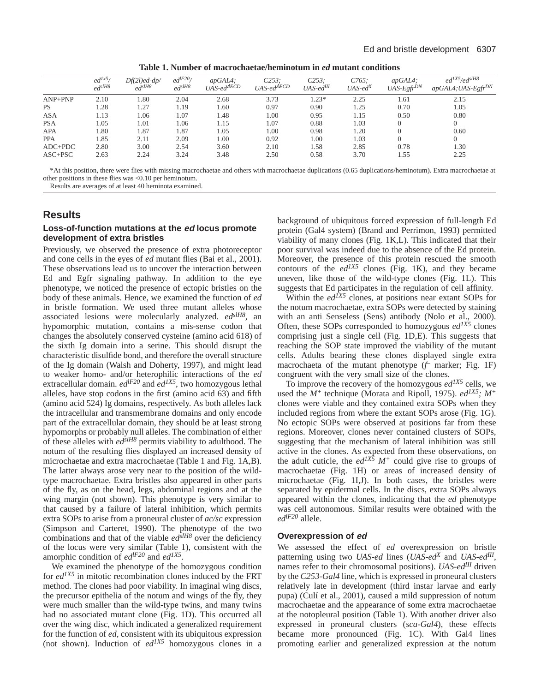| Table 1. Number of macrochaetae/heminotum in <i>ed</i> mutant conditions |  |
|--------------------------------------------------------------------------|--|
|--------------------------------------------------------------------------|--|

|             | $ed^{lx5}$<br>$ed$ slH8 | $Df(2l)$ ed-dp/<br>$ed$ slH8 | $ed^{lF20}$<br>$ed$ slH8 | $apGALA$ :<br>$UAS$ -ed $\triangle ECD$ | $C253$ ;<br>$UAS$ -ed $\triangle ECD$ | C253:<br>UAS-ed <sup>III</sup> | C765:<br>$UAS$ -ed <sup>X</sup> | $apGALA$ :<br>UAS-EgfrDN | $ed^{IX5}/ed^{slH8}$<br>apGAL4; UAS-EgfrDN |
|-------------|-------------------------|------------------------------|--------------------------|-----------------------------------------|---------------------------------------|--------------------------------|---------------------------------|--------------------------|--------------------------------------------|
| $ANP+PNP$   | 2.10                    | 1.80                         | 2.04                     | 2.68                                    | 3.73                                  | $0.23*$                        | 2.25                            | 1.61                     | 2.15                                       |
| <b>PS</b>   | 1.28                    | 1.27                         | 1.19                     | 1.60                                    | 0.97                                  | 0.90                           | 1.25                            | 0.70                     | 1.05                                       |
| <b>ASA</b>  | 1.13                    | 1.06                         | 1.07                     | 1.48                                    | 1.00                                  | 0.95                           | 1.15                            | 0.50                     | 0.80                                       |
| <b>PSA</b>  | 1.05                    | 1.01                         | 1.06                     | 1.15                                    | 1.07                                  | 0.88                           | 1.03                            |                          |                                            |
| APA         | l.80                    | 1.87                         | 1.87                     | 1.05                                    | 1.00                                  | 0.98                           | 1.20                            |                          | 0.60                                       |
| <b>PPA</b>  | .85                     | 2.11                         | 2.09                     | 1.00                                    | 0.92                                  | 1.00                           | 1.03                            |                          |                                            |
| $ADC+PDC$   | 2.80                    | 3.00                         | 2.54                     | 3.60                                    | 2.10                                  | 1.58                           | 2.85                            | 0.78                     | 1.30                                       |
| $ASC + PSC$ | 2.63                    | 2.24                         | 3.24                     | 3.48                                    | 2.50                                  | 0.58                           | 3.70                            | 1.55                     | 2.25                                       |

\*At this position, there were flies with missing macrochaetae and others with macrochaetae duplications (0.65 duplications/heminotum). Extra macrochaetae at other positions in these flies was <0.10 per heminotum.

Results are averages of at least 40 heminota examined.

# **Results**

# **Loss-of-function mutations at the ed locus promote development of extra bristles**

Previously, we observed the presence of extra photoreceptor and cone cells in the eyes of *ed* mutant flies (Bai et al., 2001). These observations lead us to uncover the interaction between Ed and Egfr signaling pathway. In addition to the eye phenotype, we noticed the presence of ectopic bristles on the body of these animals. Hence, we examined the function of *ed* in bristle formation. We used three mutant alleles whose associated lesions were molecularly analyzed. *edslH8*, an hypomorphic mutation, contains a mis-sense codon that changes the absolutely conserved cysteine (amino acid 618) of the sixth Ig domain into a serine. This should disrupt the characteristic disulfide bond, and therefore the overall structure of the Ig domain (Walsh and Doherty, 1997), and might lead to weaker homo- and/or heterophilic interactions of the *ed* extracellular domain. *edlF20* and *ed1X5*, two homozygous lethal alleles, have stop codons in the first (amino acid 63) and fifth (amino acid 524) Ig domains, respectively. As both alleles lack the intracellular and transmembrane domains and only encode part of the extracellular domain, they should be at least strong hypomorphs or probably null alleles. The combination of either of these alleles with *edslH8* permits viability to adulthood. The notum of the resulting flies displayed an increased density of microchaetae and extra macrochaetae (Table 1 and Fig. 1A,B). The latter always arose very near to the position of the wildtype macrochaetae. Extra bristles also appeared in other parts of the fly, as on the head, legs, abdominal regions and at the wing margin (not shown). This phenotype is very similar to that caused by a failure of lateral inhibition, which permits extra SOPs to arise from a proneural cluster of *ac/sc* expression (Simpson and Carteret, 1990). The phenotype of the two combinations and that of the viable  $ed<sup>3IH8</sup>$  over the deficiency of the locus were very similar (Table 1), consistent with the amorphic condition of *edlF20* and *ed1X5*.

We examined the phenotype of the homozygous condition for *ed1X5* in mitotic recombination clones induced by the FRT method. The clones had poor viability. In imaginal wing discs, the precursor epithelia of the notum and wings of the fly, they were much smaller than the wild-type twins, and many twins had no associated mutant clone (Fig. 1D). This occurred all over the wing disc, which indicated a generalized requirement for the function of *ed*, consistent with its ubiquitous expression (not shown). Induction of *ed1X5* homozygous clones in a

background of ubiquitous forced expression of full-length Ed protein (Gal4 system) (Brand and Perrimon, 1993) permitted viability of many clones (Fig. 1K,L). This indicated that their poor survival was indeed due to the absence of the Ed protein. Moreover, the presence of this protein rescued the smooth contours of the  $ed^{IX5}$  clones (Fig. 1K), and they became uneven, like those of the wild-type clones (Fig. 1L). This suggests that Ed participates in the regulation of cell affinity.

Within the  $ed^{IX5}$  clones, at positions near extant SOPs for the notum macrochaetae, extra SOPs were detected by staining with an anti Senseless (Sens) antibody (Nolo et al., 2000). Often, these SOPs corresponded to homozygous *ed1X5* clones comprising just a single cell (Fig. 1D,E). This suggests that reaching the SOP state improved the viability of the mutant cells. Adults bearing these clones displayed single extra macrochaeta of the mutant phenotype (*f –* marker; Fig. 1F) congruent with the very small size of the clones.

To improve the recovery of the homozygous *ed1X5* cells, we used the  $M^+$  technique (Morata and Ripoll, 1975). *ed<sup>1X5</sup>;*  $M^+$ clones were viable and they contained extra SOPs when they included regions from where the extant SOPs arose (Fig. 1G). No ectopic SOPs were observed at positions far from these regions. Moreover, clones never contained clusters of SOPs, suggesting that the mechanism of lateral inhibition was still active in the clones. As expected from these observations, on the adult cuticle, the  $ed^{IX\tilde{S}} M^+$  could give rise to groups of macrochaetae (Fig. 1H) or areas of increased density of microchaetae (Fig. 1I,J). In both cases, the bristles were separated by epidermal cells. In the discs, extra SOPs always appeared within the clones, indicating that the *ed* phenotype was cell autonomous. Similar results were obtained with the *edlF20* allele.

# **Overexpression of ed**

We assessed the effect of *ed* overexpression on bristle patterning using two *UAS-ed* lines (*UAS-edX* and *UAS-edIII*, names refer to their chromosomal positions). *UAS-edIII* driven by the *C253-Gal4* line, which is expressed in proneural clusters relatively late in development (third instar larvae and early pupa) (Culí et al., 2001), caused a mild suppression of notum macrochaetae and the appearance of some extra macrochaetae at the notopleural position (Table 1). With another driver also expressed in proneural clusters (*sca-Gal4*), these effects became more pronounced (Fig. 1C). With Gal4 lines promoting earlier and generalized expression at the notum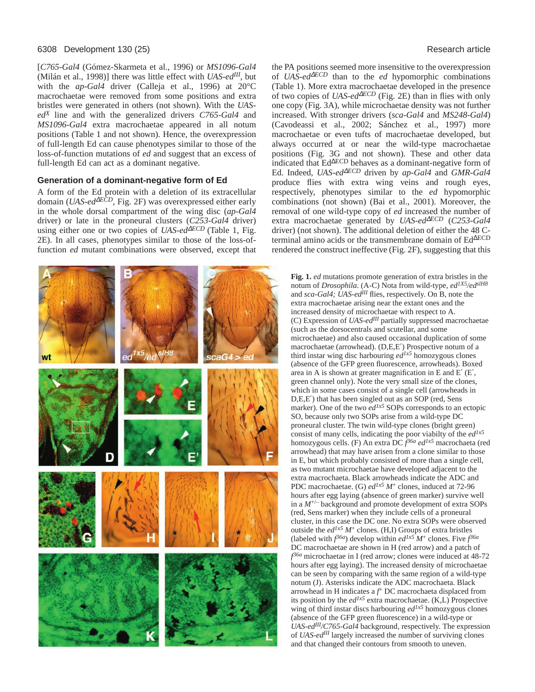#### 6308 Development 130 (25) Research article

[*C765-Gal4* (Gómez-Skarmeta et al., 1996) or *MS1096-Gal4* (Milán et al., 1998)] there was little effect with *UAS-edIII*, but with the *ap-Gal4* driver (Calleja et al., 1996) at 20°C macrochaetae were removed from some positions and extra bristles were generated in others (not shown). With the *UASedX* line and with the generalized drivers *C765-Gal4* and *MS1096-Gal4* extra macrochaetae appeared in all notum positions (Table 1 and not shown). Hence, the overexpression of full-length Ed can cause phenotypes similar to those of the loss-of-function mutations of *ed* and suggest that an excess of full-length Ed can act as a dominant negative.

# **Generation of a dominant-negative form of Ed**

A form of the Ed protein with a deletion of its extracellular domain (*UAS-ed*<sup>∆</sup>*ECD*, Fig. 2F) was overexpressed either early in the whole dorsal compartment of the wing disc (*ap-Gal4* driver) or late in the proneural clusters (*C253-Gal4* driver) using either one or two copies of *UAS-ed*<sup>∆</sup>*ECD* (Table 1, Fig. 2E). In all cases, phenotypes similar to those of the loss-offunction *ed* mutant combinations were observed, except that



the PA positions seemed more insensitive to the overexpression of *UAS-ed*<sup>∆</sup>*ECD* than to the *ed* hypomorphic combinations (Table 1). More extra macrochaetae developed in the presence of two copies of *UAS-ed*<sup>∆</sup>*ECD* (Fig. 2E) than in flies with only one copy (Fig. 3A), while microchaetae density was not further increased. With stronger drivers (*sca-Gal4* and *MS248-Gal4*) (Cavodeassi et al., 2002; Sánchez et al., 1997) more macrochaetae or even tufts of macrochaetae developed, but always occurred at or near the wild-type macrochaetae positions (Fig. 3G and not shown). These and other data indicated that Ed∆ECD behaves as a dominant-negative form of Ed. Indeed, *UAS-ed*<sup>∆</sup>*ECD* driven by *ap-Gal4* and *GMR-Gal4* produce flies with extra wing veins and rough eyes, respectively, phenotypes similar to the *ed* hypomorphic combinations (not shown) (Bai et al., 2001). Moreover, the removal of one wild-type copy of *ed* increased the number of extra macrochaetae generated by *UAS-ed*<sup>∆</sup>*ECD* (*C253-Gal4* driver) (not shown). The additional deletion of either the 48 Cterminal amino acids or the transmembrane domain of Ed∆ECD rendered the construct ineffective (Fig. 2F), suggesting that this

**Fig. 1.** *ed* mutations promote generation of extra bristles in the notum of *Drosophila*. (A-C) Nota from wild-type, *ed1X5/edslH8* and *sca-Gal4; UAS-edIII* flies, respectively. On B, note the extra macrochaetae arising near the extant ones and the increased density of microchaetae with respect to A. (C) Expression of *UAS-edIII* partially suppressed macrochaetae (such as the dorsocentrals and scutellar, and some microchaetae) and also caused occasional duplication of some macrochaetae (arrowhead). (D,E,E′) Prospective notum of a third instar wing disc harbouring *ed1x5* homozygous clones (absence of the GFP green fluorescence, arrowheads). Boxed area in A is shown at greater magnification in E and E′ (E′, green channel only). Note the very small size of the clones, which in some cases consist of a single cell (arrowheads in D,E,E′) that has been singled out as an SOP (red, Sens marker). One of the two  $e d^{lx}$  SOPs corresponds to an ectopic SO, because only two SOPs arise from a wild-type DC proneural cluster. The twin wild-type clones (bright green) consist of many cells, indicating the poor viabilty of the *ed1x5* homozygous cells. (F) An extra DC *f 36a ed1x5* macrochaeta (red arrowhead) that may have arisen from a clone similar to those in E, but which probably consisted of more than a single cell, as two mutant microchaetae have developed adjacent to the extra macrochaeta. Black arrowheads indicate the ADC and PDC macrochaetae. (G)  $ed^{lx5}M^+$  clones, induced at 72-96 hours after egg laying (absence of green marker) survive well in a *M*+/– background and promote development of extra SOPs (red, Sens marker) when they include cells of a proneural cluster, in this case the DC one. No extra SOPs were observed outside the  $ed^{lx5}M^+$  clones. (H,I) Groups of extra bristles (labeled with  $f^{36a}$ ) develop within  $ed^{lx5}M^+$  clones. Five  $f^{36a}$ DC macrochaetae are shown in H (red arrow) and a patch of *f 36a* microchaetae in I (red arrow; clones were induced at 48-72 hours after egg laying). The increased density of microchaetae can be seen by comparing with the same region of a wild-type notum (J). Asterisks indicate the ADC macrochaeta. Black arrowhead in H indicates a *f* <sup>+</sup> DC macrochaeta displaced from its position by the *ed1x5* extra macrochaetae. (K,L) Prospective wing of third instar discs harbouring  $e d^{lx}$  homozygous clones (absence of the GFP green fluorescence) in a wild-type or *UAS-edIII/C765-Gal4* background, respectively. The expression of *UAS-edIII* largely increased the number of surviving clones and that changed their contours from smooth to uneven.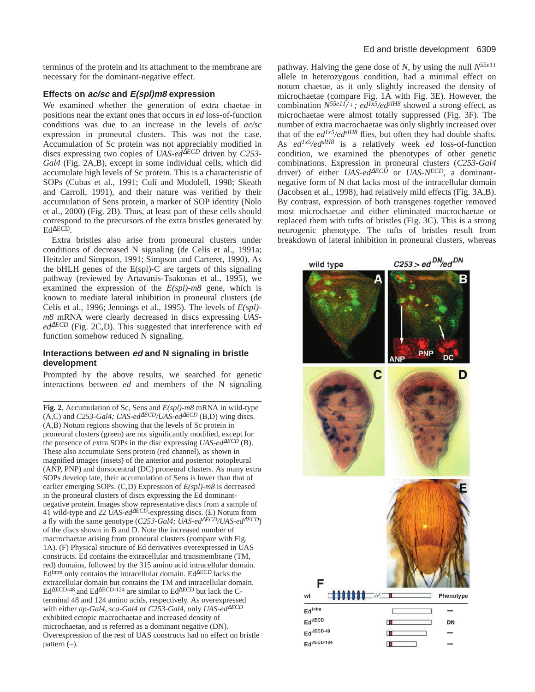terminus of the protein and its attachment to the membrane are necessary for the dominant-negative effect.

# **Effects on ac/sc and E(spl)m8 expression**

We examined whether the generation of extra chaetae in positions near the extant ones that occurs in *ed* loss-of-function conditions was due to an increase in the levels of *ac/sc* expression in proneural clusters. This was not the case. Accumulation of Sc protein was not appreciably modified in discs expressing two copies of *UAS-ed*<sup>∆</sup>*ECD* driven by *C253- Gal4* (Fig. 2A,B), except in some individual cells, which did accumulate high levels of Sc protein. This is a characteristic of SOPs (Cubas et al., 1991; Culí and Modolell, 1998; Skeath and Carroll, 1991), and their nature was verified by their accumulation of Sens protein, a marker of SOP identity (Nolo et al., 2000) (Fig. 2B). Thus, at least part of these cells should correspond to the precursors of the extra bristles generated by Ed<sup>∆</sup>ECD.

Extra bristles also arise from proneural clusters under conditions of decreased N signaling (de Celis et al., 1991a; Heitzler and Simpson, 1991; Simpson and Carteret, 1990). As the bHLH genes of the E(spl)-C are targets of this signaling pathway (reviewed by Artavanis-Tsakonas et al., 1995), we examined the expression of the *E(spl)-m8* gene, which is known to mediate lateral inhibition in proneural clusters (de Celis et al., 1996; Jennings et al., 1995). The levels of *E(spl) m8* mRNA were clearly decreased in discs expressing *UASed*<sup>∆</sup>*ECD* (Fig. 2C,D). This suggested that interference with *ed* function somehow reduced N signaling.

# **Interactions between ed and N signaling in bristle development**

Prompted by the above results, we searched for genetic interactions between *ed* and members of the N signaling

**Fig. 2.** Accumulation of Sc, Sens and *E(spl)-m8* mRNA in wild-type (A,C) and *C253-Gal4; UAS-ed*<sup>∆</sup>*ECD/UAS-ed*∆*ECD* (B,D) wing discs. (A,B) Notum regions showing that the levels of Sc protein in proneural clusters (green) are not significantly modified, except for the presence of extra SOPs in the disc expressing  $UAS$ -ed<sup> $\Delta ECD$ </sup> (B). These also accumulate Sens protein (red channel), as shown in magnified images (insets) of the anterior and posterior notopleural (ANP, PNP) and dorsocentral (DC) proneural clusters. As many extra SOPs develop late, their accumulation of Sens is lower than that of earlier emerging SOPs. (C,D) Expression of *E(spl)-m8* is decreased in the proneural clusters of discs expressing the Ed dominantnegative protein. Images show representative discs from a sample of 41 wild-type and 22 *UAS-ed*<sup>∆</sup>*ECD*-expressing discs. (E) Notum from a fly with the same genotype (*C253-Gal4; UAS-ed*<sup>∆</sup>*ECD/UAS-ed*∆*ECD*) of the discs shown in B and D. Note the increased number of macrochaetae arising from proneural clusters (compare with Fig. 1A). (F) Physical structure of Ed derivatives overexpressed in UAS constructs. Ed contains the extracellular and transmembrane (TM, red) domains, followed by the 315 amino acid intracellular domain. Edintra only contains the intracellular domain. Ed∆ECD lacks the extracellular domain but contains the TM and intracellular domain. Ed<sup>∆</sup>ECD-48 and Ed∆ECD-124 are similar to Ed∆ECD but lack the Cterminal 48 and 124 amino acids, respectively. As overexpressed with either *ap-Gal4*, *sca-Gal4* or *C253-Gal4*, only *UAS-ed*<sup>∆</sup>*ECD* exhibited ectopic macrochaetae and increased density of microchaetae, and is referred as a dominant negative (DN). Overexpression of the rest of UAS constructs had no effect on bristle pattern  $(-)$ .

pathway. Halving the gene dose of *N*, by using the null *N55e11* allele in heterozygous condition, had a minimal effect on notum chaetae, as it only slightly increased the density of microchaetae (compare Fig. 1A with Fig. 3E). However, the combination *N55e11/+; ed1x5/edslH8* showed a strong effect, as microchaetae were almost totally suppressed (Fig. 3F). The number of extra macrochaetae was only slightly increased over that of the  $ed^{lx5}/ed^{slH8}$  flies, but often they had double shafts. As *ed1x5/edslH8* is a relatively week *ed* loss-of-function condition, we examined the phenotypes of other genetic combinations. Expression in proneural clusters (*C253-Gal4* driver) of either *UAS-ed*<sup>∆*ECD*</sup> or *UAS-N<sup>ECD</sup>*, a dominantnegative form of N that lacks most of the intracellular domain (Jacobsen et al., 1998), had relatively mild effects (Fig. 3A,B). By contrast, expression of both transgenes together removed most microchaetae and either eliminated macrochaetae or replaced them with tufts of bristles (Fig. 3C). This is a strong neurogenic phenotype. The tufts of bristles result from breakdown of lateral inhibition in proneural clusters, whereas

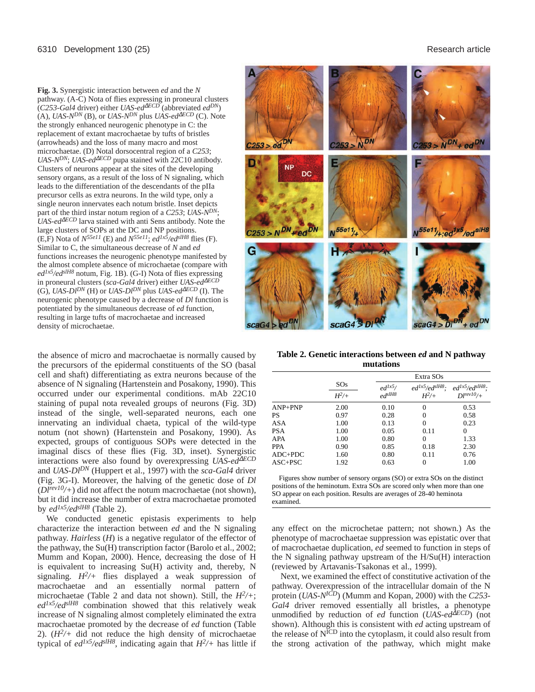**Fig. 3.** Synergistic interaction between *ed* and the *N* pathway. (A-C) Nota of flies expressing in proneural clusters (*C253-Gal4* driver) either *UAS-ed*<sup>∆</sup>*ECD* (abbreviated *edDN*) (A), *UAS-NDN* (B), or *UAS-NDN* plus *UAS-ed*<sup>∆</sup>*ECD* (C). Note the strongly enhanced neurogenic phenotype in C: the replacement of extant macrochaetae by tufts of bristles (arrowheads) and the loss of many macro and most microchaetae. (D) Notal dorsocentral region of a *C253*; *UAS-NDN*; *UAS-ed*<sup>∆</sup>*ECD* pupa stained with 22C10 antibody. Clusters of neurons appear at the sites of the developing sensory organs, as a result of the loss of N signaling, which leads to the differentiation of the descendants of the pIIa precursor cells as extra neurons. In the wild type, only a single neuron innervates each notum bristle. Inset depicts part of the third instar notum region of a *C253*; *UAS-NDN*; *UAS-ed*<sup>∆*ECD*</sup> larva stained with anti Sens antibody. Note the large clusters of SOPs at the DC and NP positions. (E,F) Nota of  $N^{55e11}$  (E) and  $N^{55e11}$ ;  $ed^{1x5}/ed^{slH8}$  flies (F). Similar to C, the simultaneous decrease of *N* and *ed* functions increases the neurogenic phenotype manifested by the almost complete absence of microchaetae (compare with *ed1x5/edslH8* notum, Fig. 1B). (G-I) Nota of flies expressing in proneural clusters (*sca-Gal4* driver) either *UAS-ed*<sup>∆</sup>*ECD*  $(G)$ , *UAS-Dl*<sup>DN</sup> (H) or *UAS-Dl*<sup>DN</sup> plus *UAS-ed*<sup> $\Delta ECD$ </sup> (I). The neurogenic phenotype caused by a decrease of *Dl* function is potentiated by the simultaneous decrease of *ed* function, resulting in large tufts of macrochaetae and increased density of microchaetae.



the absence of micro and macrochaetae is normally caused by the precursors of the epidermal constituents of the SO (basal cell and shaft) differentiating as extra neurons because of the absence of N signaling (Hartenstein and Posakony, 1990). This occurred under our experimental conditions. mAb 22C10 staining of pupal nota revealed groups of neurons (Fig. 3D) instead of the single, well-separated neurons, each one innervating an individual chaeta, typical of the wild-type notum (not shown) (Hartenstein and Posakony, 1990). As expected, groups of contiguous SOPs were detected in the imaginal discs of these flies (Fig. 3D, inset). Synergistic interactions were also found by overexpressing *UAS-ed*<sup>∆</sup>*ECD* and *UAS-DlDN* (Huppert et al., 1997) with the *sca-Gal4* driver (Fig. 3G-I). Moreover, the halving of the genetic dose of *Dl* (*Dlrev10/+*) did not affect the notum macrochaetae (not shown), but it did increase the number of extra macrochaetae promoted by *ed1x5/edslH8* (Table 2).

We conducted genetic epistasis experiments to help characterize the interaction between *ed* and the N signaling pathway. *Hairless* (*H*) is a negative regulator of the effector of the pathway, the Su(H) transcription factor (Barolo et al., 2002; Mumm and Kopan, 2000). Hence, decreasing the dose of H is equivalent to increasing Su(H) activity and, thereby, N signaling.  $H^2$  flies displayed a weak suppression of macrochaetae and an essentially normal pattern of microchaetae (Table 2 and data not shown). Still, the *H2/+*; *ed1x5/edslH8* combination showed that this relatively weak increase of N signaling almost completely eliminated the extra macrochaetae promoted by the decrease of *ed* function (Table 2).  $(H^2)$  did not reduce the high density of microchaetae typical of  $ed^{1x5}/ed^{slH8}$ , indicating again that  $H^2$ /+ has little if

**Table 2. Genetic interactions between** *ed* **and N pathway mutations**

|             |         |             | Extra SOs              |                        |  |
|-------------|---------|-------------|------------------------|------------------------|--|
|             | SOS     | $ed^{lx5}/$ | $ed^{lx5}/ed^{slH8}$ : | $ed^{lx5}/ed^{slH8}$ : |  |
|             | $H^2/+$ | $ed^{slH8}$ | $H^2/+$                | $DI^{\text{rev10}/+}$  |  |
| $AND+PNP$   | 2.00    | 0.10        | 0                      | 0.53                   |  |
| PS          | 0.97    | 0.28        | 0                      | 0.58                   |  |
| ASA         | 1.00    | 0.13        | 0                      | 0.23                   |  |
| PSA         | 1.00    | 0.05        | 0.11                   | $\theta$               |  |
| APA         | 1.00    | 0.80        | $\Omega$               | 1.33                   |  |
| PPA         | 0.90    | 0.85        | 0.18                   | 2.30                   |  |
| $ADC+PDC$   | 1.60    | 0.80        | 0.11                   | 0.76                   |  |
| $ASC + PSC$ | 1.92    | 0.63        | 0                      | 1.00                   |  |

Figures show number of sensory organs (SO) or extra SOs on the distinct positions of the heminotum. Extra SOs are scored only when more than one SO appear on each position. Results are averages of 28-40 heminota examined.

any effect on the microchetae pattern; not shown.) As the phenotype of macrochaetae suppression was epistatic over that of macrochaetae duplication, *ed* seemed to function in steps of the N signaling pathway upstream of the H/Su(H) interaction (reviewed by Artavanis-Tsakonas et al., 1999).

Next, we examined the effect of constitutive activation of the pathway. Overexpression of the intracellular domain of the N protein (*UAS-NICD*) (Mumm and Kopan, 2000) with the *C253- Gal4* driver removed essentially all bristles, a phenotype unmodified by reduction of *ed* function (*UAS-ed*<sup>∆</sup>*ECD*) (not shown). Although this is consistent with *ed* acting upstream of the release of NICD into the cytoplasm, it could also result from the strong activation of the pathway, which might make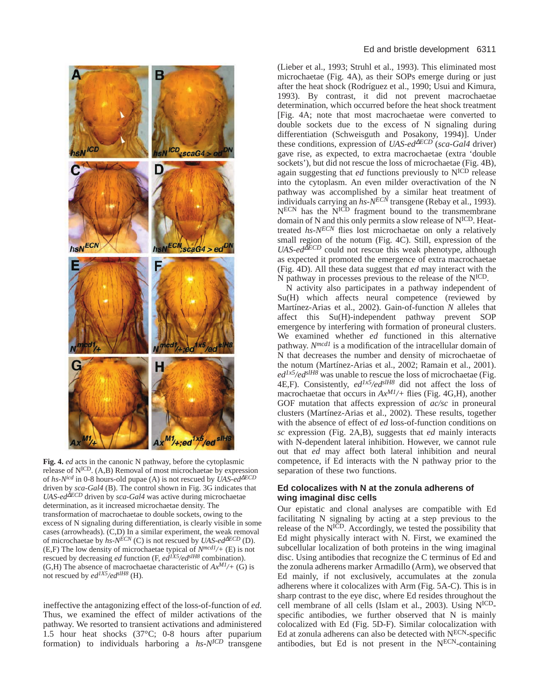

**Fig. 4.** *ed* acts in the canonic N pathway, before the cytoplasmic release of NICD. (A,B) Removal of most microchaetae by expression of *hs-Nicd* in 0-8 hours-old pupae (A) is not rescued by *UAS-ed*<sup>∆</sup>*ECD* driven by *sca-Gal4* (B). The control shown in Fig. 3G indicates that *UAS-ed*<sup>∆*ECD*</sup> driven by *sca-Gal4* was active during microchaetae determination, as it increased microchaetae density. The transformation of macrochaetae to double sockets, owing to the excess of N signaling during differentiation, is clearly visible in some cases (arrowheads). (C,D) In a similar experiment, the weak removal of microchaetae by  $h_s$ - $N^{ECN}$  (C) is not rescued by *UAS-ed*<sup> $\Delta ECD$ </sup> (D). (E,F) The low density of microchaetae typical of *Nmcd1/+* (E) is not rescued by decreasing *ed* function (F, *ed1X5/edslH8* combination). (G,H) The absence of macrochaetae characteristic of  $Ax^{M1/}$ + (G) is not rescued by *ed1X5/edslH8* (H).

ineffective the antagonizing effect of the loss-of-function of *ed*. Thus, we examined the effect of milder activations of the pathway. We resorted to transient activations and administered 1.5 hour heat shocks (37°C; 0-8 hours after puparium formation) to individuals harboring a *hs-NICD* transgene

(Lieber et al., 1993; Struhl et al., 1993). This eliminated most microchaetae (Fig. 4A), as their SOPs emerge during or just after the heat shock (Rodríguez et al., 1990; Usui and Kimura, 1993). By contrast, it did not prevent macrochaetae determination, which occurred before the heat shock treatment [Fig. 4A; note that most macrochaetae were converted to double sockets due to the excess of N signaling during differentiation (Schweisguth and Posakony, 1994)]. Under these conditions, expression of *UAS-ed*<sup>∆</sup>*ECD* (*sca-Gal4* driver) gave rise, as expected, to extra macrochaetae (extra 'double sockets'), but did not rescue the loss of microchaetae (Fig. 4B), again suggesting that *ed* functions previously to NICD release into the cytoplasm. An even milder overactivation of the N pathway was accomplished by a similar heat treatment of individuals carrying an *hs-NECN* transgene (Rebay et al., 1993). N<sup>ECN</sup> has the N<sup>ICD</sup> fragment bound to the transmembrane domain of N and this only permits a slow release of N<sup>ICD</sup>. Heattreated *hs-NECN* flies lost microchaetae on only a relatively small region of the notum (Fig. 4C). Still, expression of the *UAS-ed*<sup>∆*ECD*</sup> could not rescue this weak phenotype, although as expected it promoted the emergence of extra macrochaetae (Fig. 4D). All these data suggest that *ed* may interact with the N pathway in processes previous to the release of the NICD.

N activity also participates in a pathway independent of Su(H) which affects neural competence (reviewed by Martínez-Arias et al., 2002). Gain-of-function *N* alleles that affect this Su(H)-independent pathway prevent SOP emergence by interfering with formation of proneural clusters. We examined whether *ed* functioned in this alternative pathway. *Nmcd1* is a modification of the intracellular domain of N that decreases the number and density of microchaetae of the notum (Martínez-Arias et al., 2002; Ramain et al., 2001). *ed1x5/edslH8* was unable to rescue the loss of microchaetae (Fig. 4E,F). Consistently, *ed1x5/edslH8* did not affect the loss of macrochaetae that occurs in *AxM1/+* flies (Fig. 4G,H), another GOF mutation that affects expression of *ac/sc* in proneural clusters (Martínez-Arias et al., 2002). These results, together with the absence of effect of *ed* loss-of-function conditions on *sc* expression (Fig. 2A,B), suggests that *ed* mainly interacts with N-dependent lateral inhibition. However, we cannot rule out that *ed* may affect both lateral inhibition and neural competence, if Ed interacts with the N pathway prior to the separation of these two functions.

# **Ed colocalizes with N at the zonula adherens of wing imaginal disc cells**

Our epistatic and clonal analyses are compatible with Ed facilitating N signaling by acting at a step previous to the release of the NICD. Accordingly, we tested the possibility that Ed might physically interact with N. First, we examined the subcellular localization of both proteins in the wing imaginal disc. Using antibodies that recognize the C terminus of Ed and the zonula adherens marker Armadillo (Arm), we observed that Ed mainly, if not exclusively, accumulates at the zonula adherens where it colocalizes with Arm (Fig. 5A-C). This is in sharp contrast to the eye disc, where Ed resides throughout the cell membrane of all cells (Islam et al., 2003). Using NICDspecific antibodies, we further observed that N is mainly colocalized with Ed (Fig. 5D-F). Similar colocalization with Ed at zonula adherens can also be detected with  $N^{ECN}$ -specific antibodies, but Ed is not present in the NECN-containing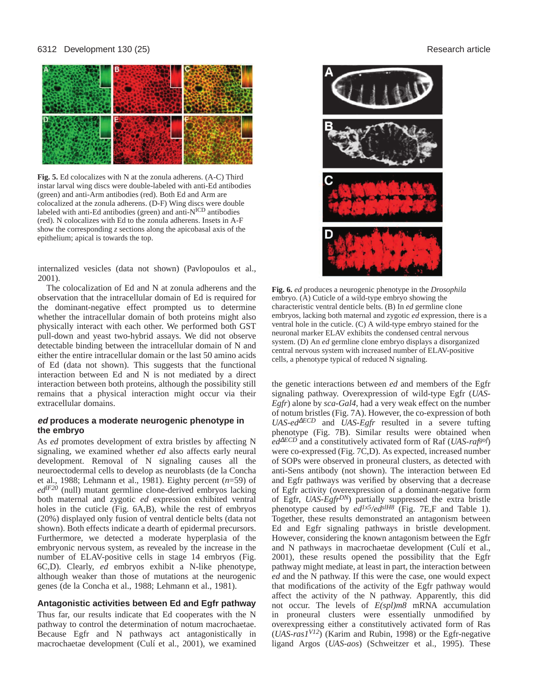#### 6312 Development 130 (25) Research article



**Fig. 5.** Ed colocalizes with N at the zonula adherens. (A-C) Third instar larval wing discs were double-labeled with anti-Ed antibodies (green) and anti-Arm antibodies (red). Both Ed and Arm are colocalized at the zonula adherens. (D-F) Wing discs were double labeled with anti-Ed antibodies (green) and anti-N<sup>ICD</sup> antibodies (red). N colocalizes with Ed to the zonula adherens. Insets in A-F show the corresponding *z* sections along the apicobasal axis of the epithelium; apical is towards the top.

internalized vesicles (data not shown) (Pavlopoulos et al., 2001).

The colocalization of Ed and N at zonula adherens and the observation that the intracellular domain of Ed is required for the dominant-negative effect prompted us to determine whether the intracellular domain of both proteins might also physically interact with each other. We performed both GST pull-down and yeast two-hybrid assays. We did not observe detectable binding between the intracellular domain of N and either the entire intracellular domain or the last 50 amino acids of Ed (data not shown). This suggests that the functional interaction between Ed and N is not mediated by a direct interaction between both proteins, although the possibility still remains that a physical interaction might occur via their extracellular domains.

# **ed produces a moderate neurogenic phenotype in the embryo**

As *ed* promotes development of extra bristles by affecting N signaling, we examined whether *ed* also affects early neural development. Removal of N signaling causes all the neuroectodermal cells to develop as neuroblasts (de la Concha et al., 1988; Lehmann et al., 1981). Eighty percent (*n*=59) of *edlF20* (null) mutant germline clone-derived embryos lacking both maternal and zygotic *ed* expression exhibited ventral holes in the cuticle (Fig. 6A,B), while the rest of embryos (20%) displayed only fusion of ventral denticle belts (data not shown). Both effects indicate a dearth of epidermal precursors. Furthermore, we detected a moderate hyperplasia of the embryonic nervous system, as revealed by the increase in the number of ELAV-positive cells in stage 14 embryos (Fig. 6C,D). Clearly, *ed* embryos exhibit a N-like phenotype, although weaker than those of mutations at the neurogenic genes (de la Concha et al., 1988; Lehmann et al., 1981).

# **Antagonistic activities between Ed and Egfr pathway**

Thus far, our results indicate that Ed cooperates with the N pathway to control the determination of notum macrochaetae. Because Egfr and N pathways act antagonistically in macrochaetae development (Culí et al., 2001), we examined



**Fig. 6.** *ed* produces a neurogenic phenotype in the *Drosophila* embryo. (A) Cuticle of a wild-type embryo showing the characteristic ventral denticle belts. (B) In *ed* germline clone embryos, lacking both maternal and zygotic *ed* expression, there is a ventral hole in the cuticle. (C) A wild-type embryo stained for the neuronal marker ELAV exhibits the condensed central nervous system. (D) An *ed* germline clone embryo displays a disorganized central nervous system with increased number of ELAV-positive cells, a phenotype typical of reduced N signaling.

the genetic interactions between *ed* and members of the Egfr signaling pathway. Overexpression of wild-type Egfr (*UAS-Egfr*) alone by *sca-Gal4*, had a very weak effect on the number of notum bristles (Fig. 7A). However, the co-expression of both *UAS-ed*<sup>∆</sup>*ECD* and *UAS-Egfr* resulted in a severe tufting phenotype (Fig. 7B). Similar results were obtained when *ed*<sup>∆</sup>*ECD* and a constitutively activated form of Raf (*UAS-rafgof*) were co-expressed (Fig. 7C,D). As expected, increased number of SOPs were observed in proneural clusters, as detected with anti-Sens antibody (not shown). The interaction between Ed and Egfr pathways was verified by observing that a decrease of Egfr activity (overexpression of a dominant-negative form of Egfr, *UAS-EgfrDN*) partially suppressed the extra bristle phenotype caused by *ed1x5/edslH8* (Fig. 7E,F and Table 1). Together, these results demonstrated an antagonism between Ed and Egfr signaling pathways in bristle development. However, considering the known antagonism between the Egfr and N pathways in macrochaetae development (Culí et al., 2001), these results opened the possibility that the Egfr pathway might mediate, at least in part, the interaction between *ed* and the N pathway. If this were the case, one would expect that modifications of the activity of the Egfr pathway would affect the activity of the N pathway. Apparently, this did not occur. The levels of *E(spl)m8* mRNA accumulation in proneural clusters were essentially unmodified by overexpressing either a constitutively activated form of Ras (*UAS-ras1V12*) (Karim and Rubin, 1998) or the Egfr-negative ligand Argos (*UAS-aos*) (Schweitzer et al., 1995). These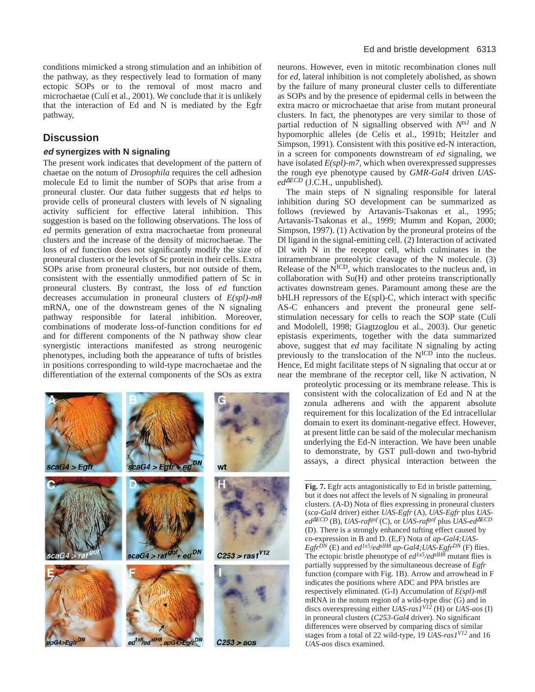conditions mimicked a strong stimulation and an inhibition of the pathway, as they respectively lead to formation of many ectopic SOPs or to the removal of most macro and microchaetae (Culí et al., 2001). We conclude that it is unlikely that the interaction of Ed and N is mediated by the Egfr pathway,

# **Discussion**

# **ed synergizes with N signaling**

The present work indicates that development of the pattern of chaetae on the notum of *Drosophila* requires the cell adhesion molecule Ed to limit the number of SOPs that arise from a proneural cluster. Our data futher suggests that *ed* helps to provide cells of proneural clusters with levels of N signaling activity sufficient for effective lateral inhibition. This suggestion is based on the following observations. The loss of *ed* permits generation of extra macrochaetae from proneural clusters and the increase of the density of microchaetae. The loss of *ed* function does not significantly modify the size of proneural clusters or the levels of Sc protein in their cells. Extra SOPs arise from proneural clusters, but not outside of them, consistent with the essentially unmodified pattern of Sc in proneural clusters. By contrast, the loss of *ed* function decreases accumulation in proneural clusters of *E(spl)-m8* mRNA, one of the downstream genes of the N signaling pathway responsible for lateral inhibition. Moreover, combinations of moderate loss-of-function conditions for *ed* and for different components of the N pathway show clear synergistic interactions manifested as strong neurogenic phenotypes, including both the appearance of tufts of bristles in positions corresponding to wild-type macrochaetae and the differentiation of the external components of the SOs as extra

| scaG4 > Egfr            | $scaG4 > Egfr + ed^{DN}$                                        | wt                  |
|-------------------------|-----------------------------------------------------------------|---------------------|
| scaG4 >                 | $scaG4 > ratgot + edDN$                                         | $C253 > ras1^{V12}$ |
| apG4>Egfr <sup>DN</sup> | ed <sup>1x5</sup> /ed <sup>sIH8</sup> , apG4>Egfr <sup>DN</sup> | $C253 > a$ os       |

neurons. However, even in mitotic recombination clones null for *ed*, lateral inhibition is not completely abolished, as shown by the failure of many proneural cluster cells to differentiate as SOPs and by the presence of epidermal cells in between the extra macro or microchaetae that arise from mutant proneural clusters. In fact, the phenotypes are very similar to those of partial reduction of N signalling observed with *Nts1* and *N* hypomorphic alleles (de Celis et al., 1991b; Heitzler and Simpson, 1991). Consistent with this positive ed-N interaction, in a screen for components downstream of *ed* signaling, we have isolated *E(spl)-m7*, which when overexpressed suppresses the rough eye phenotype caused by *GMR-Gal4* driven *UAS* $ed^{\Delta ECD}$  (J.C.H., unpublished).

The main steps of N signaling responsible for lateral inhibition during SO development can be summarized as follows (reviewed by Artavanis-Tsakonas et al., 1995; Artavanis-Tsakonas et al., 1999; Mumm and Kopan, 2000; Simpson, 1997). (1) Activation by the proneural proteins of the Dl ligand in the signal-emitting cell. (2) Interaction of activated Dl with N in the receptor cell, which culminates in the intramembrane proteolytic cleavage of the N molecule. (3) Release of the  $N<sup>ICD</sup>$ , which translocates to the nucleus and, in collaboration with Su(H) and other proteins transcriptionally activates downstream genes. Paramount among these are the bHLH repressors of the E(spl)-C, which interact with specific AS-C enhancers and prevent the proneural gene selfstimulation necessary for cells to reach the SOP state (Culí and Modolell, 1998; Giagtzoglou et al., 2003). Our genetic epistasis experiments, together with the data summarized above, suggest that *ed* may facilitate N signaling by acting previously to the translocation of the N<sup>ICD</sup> into the nucleus. Hence, Ed might facilitate steps of N signaling that occur at or near the membrane of the receptor cell, like N activation, N

proteolytic processing or its membrane release. This is consistent with the colocalization of Ed and N at the zonula adherens and with the apparent absolute requirement for this localization of the Ed intracellular domain to exert its dominant-negative effect. However, at present little can be said of the molecular mechanism underlying the Ed-N interaction. We have been unable to demonstrate, by GST pull-down and two-hybrid assays, a direct physical interaction between the

**Fig. 7.** Egfr acts antagonistically to Ed in bristle patterning, but it does not affect the levels of N signaling in proneural clusters. (A-D) Nota of flies expressing in proneural clusters (*sca-Gal4* driver) either *UAS-Egfr* (A), *UAS-Egfr* plus *UASed*<sup>∆</sup>*ECD* (B), *UAS-rafgof* (C), or *UAS-rafgof* plus *UAS-ed*<sup>∆</sup>*ECD* (D). There is a strongly enhanced tufting effect caused by co-expression in B and D. (E,F) Nota of *ap-Gal4;UAS-EgfrDN* (E) and *ed1x5/edslH8 ap-Gal4;UAS-EgfrDN* (F) flies. The ectopic bristle phenotype of *ed1x5/edslH8* mutant flies is partially suppressed by the simultaneous decrease of *Egfr* function (compare with Fig. 1B). Arrow and arrowhead in F indicates the positions where ADC and PPA bristles are respectively eliminated. (G-I) Accumulation of *E(spl)-m8* mRNA in the notum region of a wild-type disc (G) and in discs overexpressing either *UAS-ras1V12* (H) or *UAS-aos* (I) in proneural clusters (*C253-Gal4* driver). No significant differences were observed by comparing discs of similar stages from a total of 22 wild-type, 19 *UAS-ras1V12* and 16 *UAS-aos* discs examined.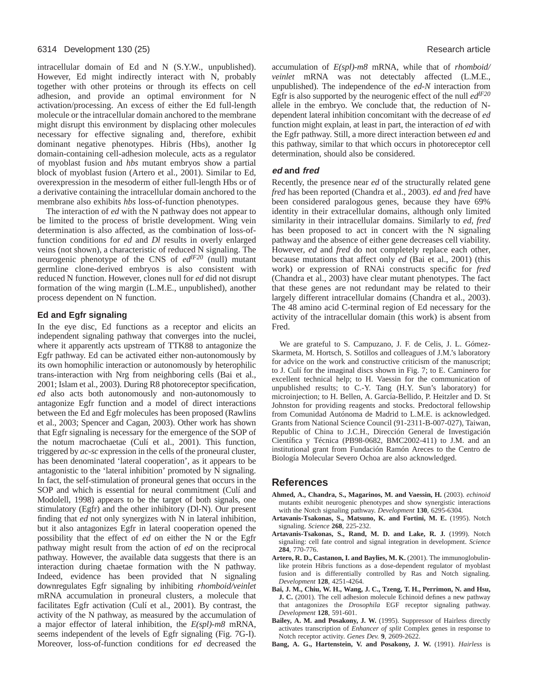intracellular domain of Ed and N (S.Y.W., unpublished). However, Ed might indirectly interact with N, probably together with other proteins or through its effects on cell adhesion, and provide an optimal environment for N activation/processing. An excess of either the Ed full-length molecule or the intracellular domain anchored to the membrane might disrupt this environment by displacing other molecules necessary for effective signaling and, therefore, exhibit dominant negative phenotypes. Hibris (Hbs), another Ig domain-containing cell-adhesion molecule, acts as a regulator of myoblast fusion and *hbs* mutant embryos show a partial block of myoblast fusion (Artero et al., 2001). Similar to Ed, overexpression in the mesoderm of either full-length Hbs or of a derivative containing the intracellular domain anchored to the membrane also exhibits *hbs* loss-of-function phenotypes.

The interaction of *ed* with the N pathway does not appear to be limited to the process of bristle development. Wing vein determination is also affected, as the combination of loss-offunction conditions for *ed* and *Dl* results in overly enlarged veins (not shown), a characteristic of reduced N signaling. The neurogenic phenotype of the CNS of *edlF20* (null) mutant germline clone-derived embryos is also consistent with reduced N function. However, clones null for *ed* did not disrupt formation of the wing margin (L.M.E., unpublished), another process dependent on N function.

# **Ed and Egfr signaling**

In the eye disc, Ed functions as a receptor and elicits an independent signaling pathway that converges into the nuclei, where it apparently acts upstream of TTK88 to antagonize the Egfr pathway. Ed can be activated either non-autonomously by its own homophilic interaction or autonomously by heterophilic trans-interaction with Nrg from neighboring cells (Bai et al., 2001; Islam et al., 2003). During R8 photoreceptor specification, *ed* also acts both autonomously and non-autonomously to antagonize Egfr function and a model of direct interactions between the Ed and Egfr molecules has been proposed (Rawlins et al., 2003; Spencer and Cagan, 2003). Other work has shown that Egfr signaling is necessary for the emergence of the SOP of the notum macrochaetae (Culí et al., 2001). This function, triggered by *ac-sc* expression in the cells of the proneural cluster, has been denominated 'lateral cooperation', as it appears to be antagonistic to the 'lateral inhibition' promoted by N signaling. In fact, the self-stimulation of proneural genes that occurs in the SOP and which is essential for neural commitment (Culí and Modolell, 1998) appears to be the target of both signals, one stimulatory (Egfr) and the other inhibitory (Dl-N). Our present finding that *ed* not only synergizes with N in lateral inhibition, but it also antagonizes Egfr in lateral cooperation opened the possibility that the effect of *ed* on either the N or the Egfr pathway might result from the action of *ed* on the reciprocal pathway. However, the available data suggests that there is an interaction during chaetae formation with the N pathway. Indeed, evidence has been provided that N signaling downregulates Egfr signaling by inhibiting *rhomboid/veinlet* mRNA accumulation in proneural clusters, a molecule that facilitates Egfr activation (Culí et al., 2001). By contrast, the activity of the N pathway, as measured by the accumulation of a major effector of lateral inhibition, the *E(spl)-m8* mRNA, seems independent of the levels of Egfr signaling (Fig. 7G-I). Moreover, loss-of-function conditions for *ed* decreased the accumulation of *E(spl)-m8* mRNA, while that of *rhomboid/ veinlet* mRNA was not detectably affected (L.M.E., unpublished). The independence of the *ed*-*N* interaction from Egfr is also supported by the neurogenic effect of the null *edlF20* allele in the embryo. We conclude that, the reduction of Ndependent lateral inhibition concomitant with the decrease of *ed* function might explain, at least in part, the interaction of *ed* with the Egfr pathway. Still, a more direct interaction between *ed* and this pathway, similar to that which occurs in photoreceptor cell determination, should also be considered.

# **ed and fred**

Recently, the presence near *ed* of the structurally related gene *fred* has been reported (Chandra et al., 2003). *ed* and *fred* have been considered paralogous genes, because they have 69% identity in their extracellular domains, although only limited similarity in their intracellular domains. Similarly to *ed*, *fred* has been proposed to act in concert with the N signaling pathway and the absence of either gene decreases cell viability. However, *ed* and *fred* do not completely replace each other, because mutations that affect only *ed* (Bai et al., 2001) (this work) or expression of RNAi constructs specific for *fred* (Chandra et al., 2003) have clear mutant phenotypes. The fact that these genes are not redundant may be related to their largely different intracellular domains (Chandra et al., 2003). The 48 amino acid C-terminal region of Ed necessary for the activity of the intracellular domain (this work) is absent from Fred.

We are grateful to S. Campuzano, J. F. de Celis, J. L. Gómez-Skarmeta, M. Hortsch, S. Sotillos and colleagues of J.M.'s laboratory for advice on the work and constructive criticism of the manuscript; to J. Culí for the imaginal discs shown in Fig. 7; to E. Caminero for excellent technical help; to H. Vaessin for the communication of unpublished results; to C.-Y. Tang (H.Y. Sun's laboratory) for microinjection; to H. Bellen, A. García-Bellido, P. Heitzler and D. St Johnston for providing reagents and stocks. Predoctoral fellowship from Comunidad Autónoma de Madrid to L.M.E. is acknowledged. Grants from National Science Council (91-2311-B-007-027), Taiwan, Republic of China to J.C.H., Dirección General de Investigación Científica y Técnica (PB98-0682, BMC2002-411) to J.M. and an institutional grant from Fundación Ramón Areces to the Centro de Biología Molecular Severo Ochoa are also acknowledged.

# **References**

- **Ahmed, A., Chandra, S., Magarinos, M. and Vaessin, H.** (2003). *echinoid* mutants exhibit neurogenic phenotypes and show synergistic interactions with the Notch signaling pathway. *Development* **130**, 6295-6304.
- **Artavanis-Tsakonas, S., Matsuno, K. and Fortini, M. E.** (1995). Notch signaling. *Science* **268**, 225-232.
- **Artavanis-Tsakonas, S., Rand, M. D. and Lake, R. J.** (1999). Notch signaling: cell fate control and signal integration in development. *Science* **284**, 770-776.
- **Artero, R. D., Castanon, I. and Baylies, M. K.** (2001). The immunoglobulinlike protein Hibris functions as a dose-dependent regulator of myoblast fusion and is differentially controlled by Ras and Notch signaling. *Development* **128**, 4251-4264.
- **Bai, J. M., Chiu, W. H., Wang, J. C., Tzeng, T. H., Perrimon, N. and Hsu, J. C.** (2001). The cell adhesion molecule Echinoid defines a new pathway that antagonizes the *Drosophila* EGF receptor signaling pathway. *Development* **128**, 591-601.
- **Bailey, A. M. and Posakony, J. W.** (1995). Suppressor of Hairless directly activates transcription of *Enhancer of split* Complex genes in response to Notch receptor activity. *Genes Dev.* **9**, 2609-2622.
- **Bang, A. G., Hartenstein, V. and Posakony, J. W.** (1991). *Hairless* is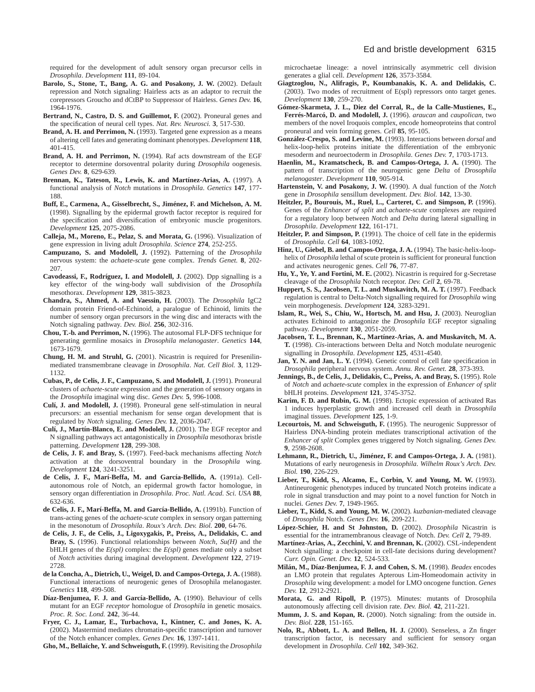required for the development of adult sensory organ precursor cells in *Drosophila*. *Development* **111**, 89-104.

- **Barolo, S., Stone, T., Bang, A. G. and Posakony, J. W.** (2002). Default repression and Notch signaling: Hairless acts as an adaptor to recruit the corepressors Groucho and dCtBP to Suppressor of Hairless. *Genes Dev.* **16**, 1964-1976.
- **Bertrand, N., Castro, D. S. and Guillemot, F.** (2002). Proneural genes and the specification of neural cell types. *Nat. Rev. Neurosci.* **3**, 517-530.
- **Brand, A. H. and Perrimon, N.** (1993). Targeted gene expression as a means of altering cell fates and generating dominant phenotypes. *Development* **118**, 401-415.
- **Brand, A. H. and Perrimon, N.** (1994). Raf acts downstream of the EGF receptor to determine dorsoventral polarity during *Drosophila* oogenesis. *Genes Dev.* **8**, 629-639.
- **Brennan, K., Tateson, R., Lewis, K. and Martínez-Arias, A.** (1997). A functional analysis of *Notch* mutations in *Drosophila*. *Genetics* **147**, 177- 188.
- **Buff, E., Carmena, A., Gisselbrecht, S., Jiménez, F. and Michelson, A. M.** (1998). Signalling by the epidermal growth factor receptor is required for the specification and diversification of embryonic muscle progenitors. *Development* **125**, 2075-2086.
- **Calleja, M., Moreno, E., Pelaz, S. and Morata, G.** (1996). Visualization of gene expression in living adult *Drosophila*. *Science* **274**, 252-255.
- **Campuzano, S. and Modolell, J.** (1992). Patterning of the *Drosophila* nervous system: the *achaete*-*scute* gene complex. *Trends Genet.* **8**, 202- 207.
- **Cavodeassi, F., Rodríguez, I. and Modolell, J.** (2002). Dpp signalling is a key effector of the wing-body wall subdivision of the *Drosophil*a mesothorax. *Development* **129**, 3815-3823.
- **Chandra, S., Ahmed, A. and Vaessin, H.** (2003). The *Drosophila* IgC2 domain protein Friend-of-Echinoid, a paralogue of Echinoid, limits the number of sensory organ precursors in the wing disc and interacts with the Notch signaling pathway. *Dev. Biol.* **256**, 302-316.
- **Chou, T.-b. and Perrimon, N.** (1996). The autosomal FLP-DFS technique for generating germline mosaics in *Drosophila melanogaster*. *Genetics* **144**, 1673-1679.
- **Chung, H. M. and Struhl, G.** (2001). Nicastrin is required for Presenilinmediated transmembrane cleavage in *Drosophila*. *Nat. Cell Biol.* **3**, 1129- 1132.
- **Cubas, P., de Celis, J. F., Campuzano, S. and Modolell, J.** (1991). Proneural clusters of *achaete-scute* expression and the generation of sensory organs in the *Drosophila* imaginal wing disc. *Genes Dev.* **5**, 996-1008.
- **Culí, J. and Modolell, J.** (1998). Proneural gene self-stimulation in neural precursors: an essential mechanism for sense organ development that is regulated by *Notch* signaling. *Genes Dev.* **12**, 2036-2047.
- **Culí, J., Martín-Blanco, E. and Modolell, J.** (2001). The EGF receptor and N signalling pathways act antagonistically in *Drosophila* mesothorax bristle patterning. *Development* **128**, 299-308.
- **de Celis, J. F. and Bray, S.** (1997). Feed-back mechanisms affecting *Notch* activation at the dorsoventral boundary in the *Drosophila* wing. *Development* **124**, 3241-3251.
- **de Celis, J. F., Marí-Beffa, M. and García-Bellido, A.** (1991a). Cellautonomous role of Notch, an epidermal growth factor homologue, in sensory organ differentiation in *Drosophila*. *Proc. Natl. Acad. Sci. USA* **88**, 632-636.
- **de Celis, J. F., Marí-Beffa, M. and García-Bellido, A.** (1991b). Function of trans-acting genes of the *achaete-scute* complex in sensory organ patterning in the mesonotum of *Drosophila*. *Roux's Arch. Dev. Biol.* **200**, 64-76.
- **de Celis, J. F., de Celis, J., Ligoxygakis, P., Preiss, A., Delidakis, C. and Bray, S.** (1996). Functional relationships between *Notch*, *Su(H)* and the bHLH genes of the *E(spl)* complex: the *E(spl)* genes mediate only a subset of *Notch* activities during imaginal development. *Development* **122**, 2719- 2728.
- **de la Concha, A., Dietrich, U., Weigel, D. and Campos-Ortega, J. A.** (1988). Functional interactions of neurogenic genes of Drosophila melanogaster. *Genetics* **118**, 499-508.
- **Díaz-Benjumea, F. J. and García-Bellido, A.** (1990). Behaviour of cells mutant for an EGF *receptor* homologue of *Drosophila* in genetic mosaics. *Proc. R. Soc. Lond.* **242**, 36-44.
- **Fryer, C. J., Lamar, E., Turbachova, I., Kintner, C. and Jones, K. A.** (2002). Mastermind mediates chromatin-specific transcription and turnover of the Notch enhancer complex. *Genes Dev.* **16**, 1397-1411.

**Gho, M., Bellaïche, Y. and Schweisguth, F.** (1999). Revisiting the *Drosophila*

microchaetae lineage: a novel intrinsically asymmetric cell division generates a glial cell. *Development* **126**, 3573-3584.

- **Giagtzoglou, N., Alifragis, P., Koumbanakis, K. A. and Delidakis, C.** (2003). Two modes of recruitment of E(spl) repressors onto target genes. *Development* **130**, 259-270.
- **Gómez-Skarmeta, J. L., Diez del Corral, R., de la Calle-Mustienes, E., Ferrés-Marcó, D. and Modolell, J.** (1996). *araucan* and *caupolican*, two members of the novel Iroquois complex, encode homeoproteins that control proneural and vein forming genes. *Cell* **85**, 95-105.
- **González-Crespo, S. and Levine, M.** (1993). Interactions between *dorsal* and helix-loop-helix proteins initiate the differentiation of the embryonic mesoderm and neuroectoderm in *Drosophila*. *Genes Dev.* **7**, 1703-1713.
- **Haenlin, M., Kramatscheck, B. and Campos-Ortega, J. A.** (1990). The pattern of transcription of the neurogenic gene *Delta* of *Drosophila melanogaster*. *Development* **110**, 905-914.
- **Hartenstein, V. and Posakony, J. W.** (1990). A dual function of the *Notch* gene in *Drosophila* sensillum development. *Dev. Biol.* **142**, 13-30.
- **Heitzler, P., Bourouis, M., Ruel, L., Carteret, C. and Simpson, P.** (1996). Genes of the *Enhancer of split* and *achaete-scute* complexes are required for a regulatory loop between *Notch* and *Delta* during lateral signalling in *Drosophila*. *Development* **122**, 161-171.
- **Heitzler, P. and Simpson, P.** (1991). The choice of cell fate in the epidermis of *Drosophila*. *Cell* **64**, 1083-1092.
- **Hinz, U., Giebel, B. and Campos-Ortega, J. A.** (1994). The basic-helix-loophelix of *Drosophila* lethal of scute protein is sufficient for proneural function and activates neurogenic genes. *Cell* **76**, 77-87.
- **Hu, Y., Ye, Y. and Fortini, M. E.** (2002). Nicastrin is required for g-Secretase cleavage of the *Drosophila* Notch receptor. *Dev. Cell* **2**, 69-78.
- **Huppert, S. S., Jacobsen, T. L. and Muskavitch, M. A. T.** (1997). Feedback regulation is central to Delta-Notch signalling required for *Drosophila* wing vein morphogenesis. *Development* **124**, 3283-3291.
- **Islam, R., Wei, S., Chiu, W., Hortsch, M. and Hsu, J.** (2003). Neuroglian activates Echinoid to antagonize the *Drosophila* EGF receptor signaling pathway. *Development* **130**, 2051-2059.
- **Jacobsen, T. L., Brennan, K., Martínez-Arias, A. and Muskavitch, M. A. T.** (1998). *Cis*-interactions between Delta and Notch modulate neurogenic signalling in *Drosophila*. *Development* **125**, 4531-4540.
- **Jan, Y. N. and Jan, L. Y.** (1994). Genetic control of cell fate specification in *Drosophila* peripheral nervous system. *Annu. Rev. Genet.* **28**, 373-393.
- **Jennings, B., de Celis, J., Delidakis, C., Preiss, A. and Bray, S.** (1995). Role of *Notch* and *achaete-scute* complex in the expression of *Enhancer of split* bHLH proteins. *Development* **121**, 3745-3752.
- **Karim, F. D. and Rubin, G. M.** (1998). Ectopic expression of activated Ras 1 induces hyperplastic growth and increased cell death in *Drosophila* imaginal tissues. *Development* **125**, 1-9.
- **Lecourtois, M. and Schweisguth, F.** (1995). The neurogenic Suppressor of Hairless DNA-binding protein mediates transcriptional activation of the *Enhancer of split* Complex genes triggered by Notch signaling. *Genes Dev.* **9**, 2598-2608.
- **Lehmann, R., Dietrich, U., Jiménez, F. and Campos-Ortega, J. A.** (1981). Mutations of early neurogenesis in *Drosophila*. *Wilhelm Roux's Arch. Dev. Biol.* **190**, 226-229.
- **Lieber, T., Kidd, S., Alcamo, E., Corbin, V. and Young, M. W.** (1993). Antineurogenic phenotypes induced by truncated Notch proteins indicate a role in signal transduction and may point to a novel function for Notch in nuclei. *Genes Dev.* **7**, 1949-1965.
- **Lieber, T., Kidd, S. and Young, M. W.** (2002). *kuzbanian*-mediated cleavage of *Drosophila* Notch. *Genes Dev.* **16**, 209-221.
- **López-Schier, H. and St Johnston, D.** (2002). *Drosophila* Nicastrin is essential for the intramembranous cleavage of Notch. *Dev. Cell* **2**, 79-89.
- **Martínez-Arias, A., Zecchini, V. and Brennan, K.** (2002). CSL-independent Notch signalling: a checkpoint in cell-fate decisions during development? *Curr. Opin. Genet. Dev.* **12**, 524-533.
- **Milán, M., Díaz-Benjumea, F. J. and Cohen, S. M.** (1998). *Beadex* encodes an LMO protein that regulates Apterous Lim-Homeodomain activity in *Drosophila* wing development: a model for LMO oncogene function. *Genes Dev.* **12**, 2912-2921.
- **Morata, G. and Ripoll, P.** (1975). Minutes: mutants of Drosophila autonomously affecting cell division rate. *Dev. Biol.* **42**, 211-221.
- **Mumm, J. S. and Kopan, R.** (2000). Notch signaling: from the outside in. *Dev. Biol.* **228**, 151-165.
- **Nolo, R., Abbott, L. A. and Bellen, H. J.** (2000). Senseless, a Zn finger transcription factor, is necessary and sufficient for sensory organ development in *Drosophila*. *Cell* **102**, 349-362.